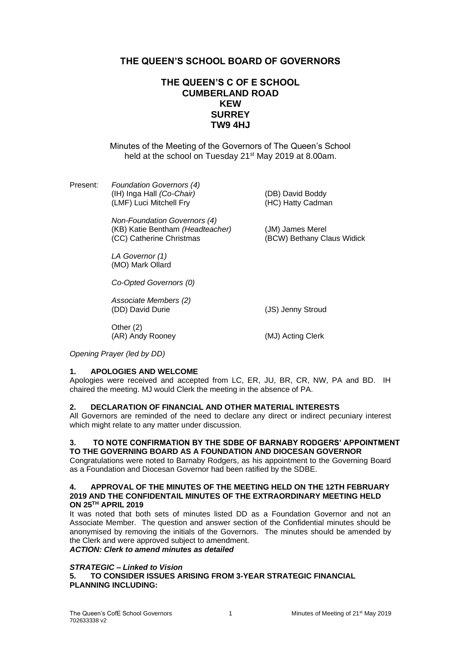# **THE QUEEN'S SCHOOL BOARD OF GOVERNORS**

# **THE QUEEN'S C OF E SCHOOL CUMBERLAND ROAD KEW SURREY TW9 4HJ**

Minutes of the Meeting of the Governors of The Queen's School held at the school on Tuesday 21<sup>st</sup> May 2019 at 8.00am.

| Present: | <b>Foundation Governors (4)</b><br>(IH) Inga Hall (Co-Chair)<br>(LMF) Luci Mitchell Fry | (DB) David Boddy<br>(HC) Hatty Cadman |  |
|----------|-----------------------------------------------------------------------------------------|---------------------------------------|--|
|          | Non-Foundation Governors (4)                                                            |                                       |  |

(KB) Katie Bentham *(Headteacher)* (JM) James Merel (CC) Catherine Christmas (BCW) Bethany Claus Widick

*LA Governor (1)* (MO) Mark Ollard

*Co-Opted Governors (0)*

*Associate Members (2)*

Other (2) (AR) Andy Rooney (MJ) Acting Clerk

(JS) Jenny Stroud

*Opening Prayer (led by DD)*

## **1. APOLOGIES AND WELCOME**

Apologies were received and accepted from LC, ER, JU, BR, CR, NW, PA and BD. IH chaired the meeting. MJ would Clerk the meeting in the absence of PA.

## **2. DECLARATION OF FINANCIAL AND OTHER MATERIAL INTERESTS**

All Governors are reminded of the need to declare any direct or indirect pecuniary interest which might relate to any matter under discussion.

#### **3. TO NOTE CONFIRMATION BY THE SDBE OF BARNABY RODGERS' APPOINTMENT TO THE GOVERNING BOARD AS A FOUNDATION AND DIOCESAN GOVERNOR**

Congratulations were noted to Barnaby Rodgers, as his appointment to the Governing Board as a Foundation and Diocesan Governor had been ratified by the SDBE.

#### **4. APPROVAL OF THE MINUTES OF THE MEETING HELD ON THE 12TH FEBRUARY 2019 AND THE CONFIDENTAIL MINUTES OF THE EXTRAORDINARY MEETING HELD ON 25TH APRIL 2019**

It was noted that both sets of minutes listed DD as a Foundation Governor and not an Associate Member. The question and answer section of the Confidential minutes should be anonymised by removing the initials of the Governors. The minutes should be amended by the Clerk and were approved subject to amendment.

# *ACTION: Clerk to amend minutes as detailed*

#### *STRATEGIC – Linked to Vision*

**5. TO CONSIDER ISSUES ARISING FROM 3-YEAR STRATEGIC FINANCIAL PLANNING INCLUDING:**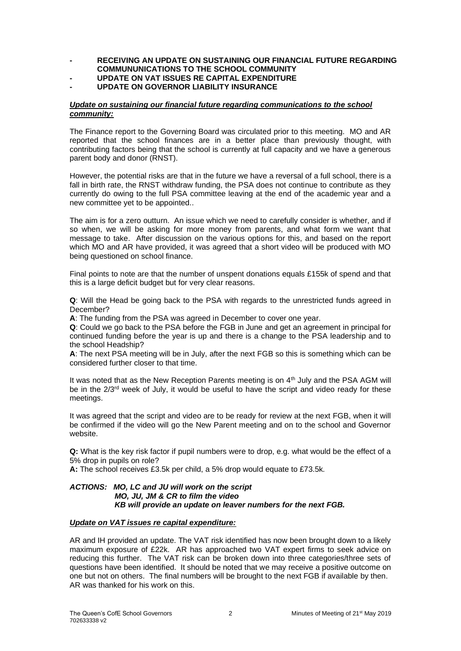#### **- RECEIVING AN UPDATE ON SUSTAINING OUR FINANCIAL FUTURE REGARDING COMMUNUNICATIONS TO THE SCHOOL COMMUNITY**

## **- UPDATE ON VAT ISSUES RE CAPITAL EXPENDITURE**

## **- UPDATE ON GOVERNOR LIABILITY INSURANCE**

#### *Update on sustaining our financial future regarding communications to the school community:*

The Finance report to the Governing Board was circulated prior to this meeting. MO and AR reported that the school finances are in a better place than previously thought, with contributing factors being that the school is currently at full capacity and we have a generous parent body and donor (RNST).

However, the potential risks are that in the future we have a reversal of a full school, there is a fall in birth rate, the RNST withdraw funding, the PSA does not continue to contribute as they currently do owing to the full PSA committee leaving at the end of the academic year and a new committee yet to be appointed..

The aim is for a zero outturn. An issue which we need to carefully consider is whether, and if so when, we will be asking for more money from parents, and what form we want that message to take. After discussion on the various options for this, and based on the report which MO and AR have provided, it was agreed that a short video will be produced with MO being questioned on school finance.

Final points to note are that the number of unspent donations equals £155k of spend and that this is a large deficit budget but for very clear reasons.

**Q**: Will the Head be going back to the PSA with regards to the unrestricted funds agreed in December?

**A**: The funding from the PSA was agreed in December to cover one year.

**Q**: Could we go back to the PSA before the FGB in June and get an agreement in principal for continued funding before the year is up and there is a change to the PSA leadership and to the school Headship?

**A**: The next PSA meeting will be in July, after the next FGB so this is something which can be considered further closer to that time.

It was noted that as the New Reception Parents meeting is on  $4<sup>th</sup>$  July and the PSA AGM will be in the 2/3<sup>rd</sup> week of July, it would be useful to have the script and video ready for these meetings.

It was agreed that the script and video are to be ready for review at the next FGB, when it will be confirmed if the video will go the New Parent meeting and on to the school and Governor website.

**Q:** What is the key risk factor if pupil numbers were to drop, e.g. what would be the effect of a 5% drop in pupils on role?

**A:** The school receives £3.5k per child, a 5% drop would equate to £73.5k*.*

## *ACTIONS: MO, LC and JU will work on the script MO, JU, JM & CR to film the video KB will provide an update on leaver numbers for the next FGB.*

## *Update on VAT issues re capital expenditure:*

AR and IH provided an update. The VAT risk identified has now been brought down to a likely maximum exposure of £22k. AR has approached two VAT expert firms to seek advice on reducing this further. The VAT risk can be broken down into three categories/three sets of questions have been identified. It should be noted that we may receive a positive outcome on one but not on others. The final numbers will be brought to the next FGB if available by then. AR was thanked for his work on this.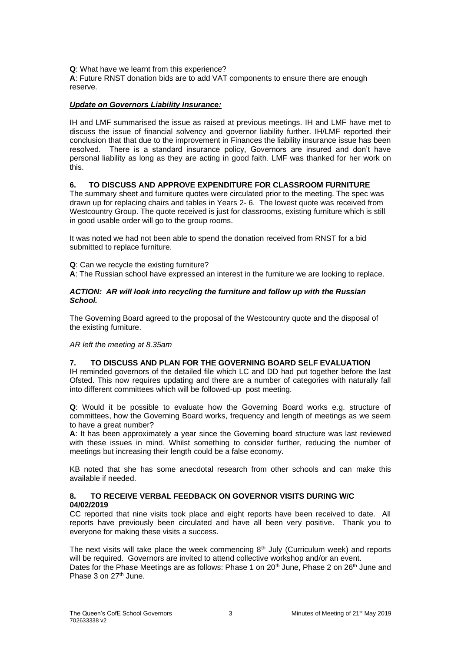**Q**: What have we learnt from this experience?

**A**: Future RNST donation bids are to add VAT components to ensure there are enough reserve.

## *Update on Governors Liability Insurance:*

IH and LMF summarised the issue as raised at previous meetings. IH and LMF have met to discuss the issue of financial solvency and governor liability further. IH/LMF reported their conclusion that that due to the improvement in Finances the liability insurance issue has been resolved. There is a standard insurance policy, Governors are insured and don't have personal liability as long as they are acting in good faith. LMF was thanked for her work on this.

## **6. TO DISCUSS AND APPROVE EXPENDITURE FOR CLASSROOM FURNITURE**

The summary sheet and furniture quotes were circulated prior to the meeting. The spec was drawn up for replacing chairs and tables in Years 2- 6. The lowest quote was received from Westcountry Group. The quote received is just for classrooms, existing furniture which is still in good usable order will go to the group rooms.

It was noted we had not been able to spend the donation received from RNST for a bid submitted to replace furniture.

**Q**: Can we recycle the existing furniture?

**A**: The Russian school have expressed an interest in the furniture we are looking to replace.

#### *ACTION: AR will look into recycling the furniture and follow up with the Russian School.*

The Governing Board agreed to the proposal of the Westcountry quote and the disposal of the existing furniture.

*AR left the meeting at 8.35am*

## **7. TO DISCUSS AND PLAN FOR THE GOVERNING BOARD SELF EVALUATION**

IH reminded governors of the detailed file which LC and DD had put together before the last Ofsted. This now requires updating and there are a number of categories with naturally fall into different committees which will be followed-up post meeting.

**Q**: Would it be possible to evaluate how the Governing Board works e.g. structure of committees, how the Governing Board works, frequency and length of meetings as we seem to have a great number?

**A**: It has been approximately a year since the Governing board structure was last reviewed with these issues in mind. Whilst something to consider further, reducing the number of meetings but increasing their length could be a false economy*.*

KB noted that she has some anecdotal research from other schools and can make this available if needed.

## **8. TO RECEIVE VERBAL FEEDBACK ON GOVERNOR VISITS DURING W/C 04/02/2019**

CC reported that nine visits took place and eight reports have been received to date. All reports have previously been circulated and have all been very positive. Thank you to everyone for making these visits a success.

The next visits will take place the week commencing  $8<sup>th</sup>$  July (Curriculum week) and reports will be required. Governors are invited to attend collective workshop and/or an event. Dates for the Phase Meetings are as follows: Phase 1 on 20<sup>th</sup> June, Phase 2 on 26<sup>th</sup> June and Phase 3 on 27<sup>th</sup> June.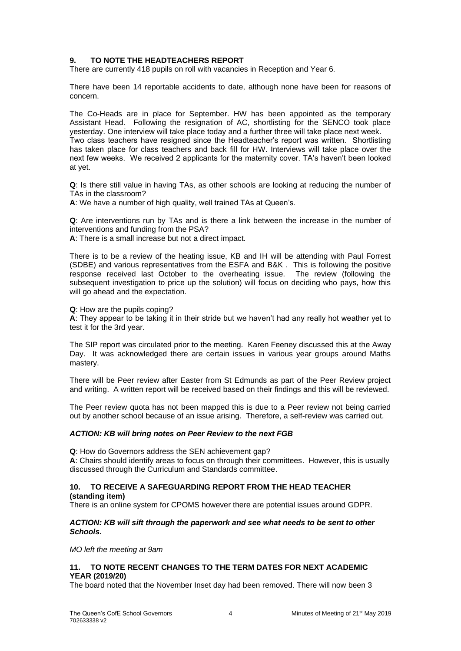## **9. TO NOTE THE HEADTEACHERS REPORT**

There are currently 418 pupils on roll with vacancies in Reception and Year 6.

There have been 14 reportable accidents to date, although none have been for reasons of concern.

The Co-Heads are in place for September. HW has been appointed as the temporary Assistant Head. Following the resignation of AC, shortlisting for the SENCO took place yesterday. One interview will take place today and a further three will take place next week. Two class teachers have resigned since the Headteacher's report was written. Shortlisting has taken place for class teachers and back fill for HW. Interviews will take place over the next few weeks. We received 2 applicants for the maternity cover. TA's haven't been looked at yet.

**Q**: Is there still value in having TAs, as other schools are looking at reducing the number of TAs in the classroom?

**A**: We have a number of high quality, well trained TAs at Queen's.

**Q**: Are interventions run by TAs and is there a link between the increase in the number of interventions and funding from the PSA?

**A**: There is a small increase but not a direct impact.

There is to be a review of the heating issue, KB and IH will be attending with Paul Forrest (SDBE) and various representatives from the ESFA and B&K . This is following the positive response received last October to the overheating issue. The review (following the subsequent investigation to price up the solution) will focus on deciding who pays, how this will go ahead and the expectation.

**Q**: How are the pupils coping?

**A**: They appear to be taking it in their stride but we haven't had any really hot weather yet to test it for the 3rd year.

The SIP report was circulated prior to the meeting. Karen Feeney discussed this at the Away Day. It was acknowledged there are certain issues in various year groups around Maths mastery.

There will be Peer review after Easter from St Edmunds as part of the Peer Review project and writing. A written report will be received based on their findings and this will be reviewed.

The Peer review quota has not been mapped this is due to a Peer review not being carried out by another school because of an issue arising. Therefore, a self-review was carried out.

#### *ACTION: KB will bring notes on Peer Review to the next FGB*

**Q**: How do Governors address the SEN achievement gap?

**A**: Chairs should identify areas to focus on through their committees. However, this is usually discussed through the Curriculum and Standards committee.

## **10. TO RECEIVE A SAFEGUARDING REPORT FROM THE HEAD TEACHER**

**(standing item)**

There is an online system for CPOMS however there are potential issues around GDPR.

#### *ACTION: KB will sift through the paperwork and see what needs to be sent to other Schools.*

*MO left the meeting at 9am*

#### **11. TO NOTE RECENT CHANGES TO THE TERM DATES FOR NEXT ACADEMIC YEAR (2019/20)**

The board noted that the November Inset day had been removed. There will now been 3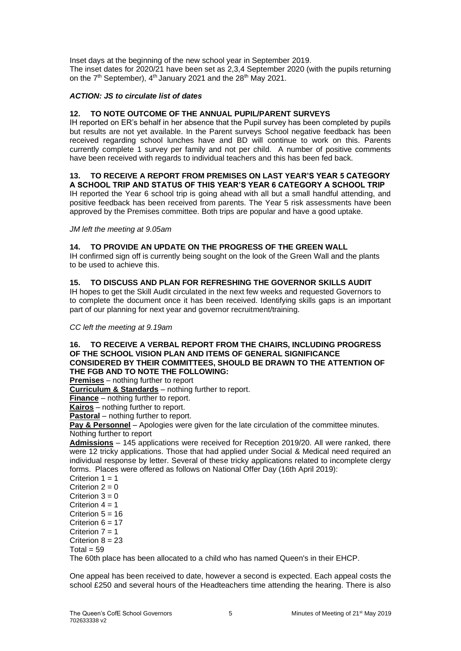Inset days at the beginning of the new school year in September 2019. The inset dates for 2020/21 have been set as 2,3,4 September 2020 (with the pupils returning on the  $7<sup>th</sup>$  September),  $4<sup>th</sup>$  January 2021 and the 28<sup>th</sup> May 2021.

## *ACTION: JS to circulate list of dates*

## **12. TO NOTE OUTCOME OF THE ANNUAL PUPIL/PARENT SURVEYS**

IH reported on ER's behalf in her absence that the Pupil survey has been completed by pupils but results are not yet available. In the Parent surveys School negative feedback has been received regarding school lunches have and BD will continue to work on this. Parents currently complete 1 survey per family and not per child. A number of positive comments have been received with regards to individual teachers and this has been fed back.

# **13. TO RECEIVE A REPORT FROM PREMISES ON LAST YEAR'S YEAR 5 CATEGORY**

**A SCHOOL TRIP AND STATUS OF THIS YEAR'S YEAR 6 CATEGORY A SCHOOL TRIP** IH reported the Year 6 school trip is going ahead with all but a small handful attending, and positive feedback has been received from parents. The Year 5 risk assessments have been approved by the Premises committee. Both trips are popular and have a good uptake.

*JM left the meeting at 9.05am*

## **14. TO PROVIDE AN UPDATE ON THE PROGRESS OF THE GREEN WALL**

IH confirmed sign off is currently being sought on the look of the Green Wall and the plants to be used to achieve this.

## **15. TO DISCUSS AND PLAN FOR REFRESHING THE GOVERNOR SKILLS AUDIT**

IH hopes to get the Skill Audit circulated in the next few weeks and requested Governors to to complete the document once it has been received. Identifying skills gaps is an important part of our planning for next year and governor recruitment/training.

*CC left the meeting at 9.19am*

#### **16. TO RECEIVE A VERBAL REPORT FROM THE CHAIRS, INCLUDING PROGRESS OF THE SCHOOL VISION PLAN AND ITEMS OF GENERAL SIGNIFICANCE CONSIDERED BY THEIR COMMITTEES, SHOULD BE DRAWN TO THE ATTENTION OF THE FGB AND TO NOTE THE FOLLOWING:**

**Premises** – nothing further to report

**Curriculum & Standards** – nothing further to report.

**Finance** – nothing further to report.

**Kairos** – nothing further to report.

**Pastoral** – nothing further to report.

**Pay & Personnel** – Apologies were given for the late circulation of the committee minutes. Nothing further to report

**Admissions** – 145 applications were received for Reception 2019/20. All were ranked, there were 12 tricky applications. Those that had applied under Social & Medical need required an individual response by letter. Several of these tricky applications related to incomplete clergy forms. Places were offered as follows on National Offer Day (16th April 2019):

Criterion  $1 = 1$ Criterion  $2 = 0$ Criterion  $3 = 0$ Criterion  $4 = 1$ Criterion  $5 = 16$ Criterion  $6 = 17$ Criterion  $7 = 1$ Criterion  $8 = 23$  $Total = 59$ 

The 60th place has been allocated to a child who has named Queen's in their EHCP.

One appeal has been received to date, however a second is expected. Each appeal costs the school £250 and several hours of the Headteachers time attending the hearing. There is also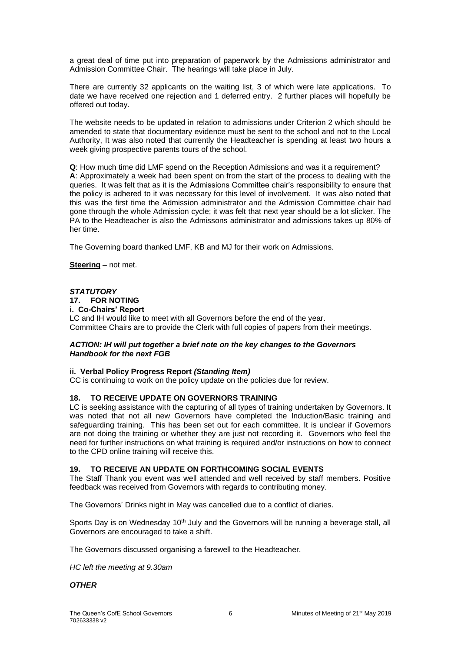a great deal of time put into preparation of paperwork by the Admissions administrator and Admission Committee Chair. The hearings will take place in July.

There are currently 32 applicants on the waiting list, 3 of which were late applications. To date we have received one rejection and 1 deferred entry. 2 further places will hopefully be offered out today.

The website needs to be updated in relation to admissions under Criterion 2 which should be amended to state that documentary evidence must be sent to the school and not to the Local Authority, It was also noted that currently the Headteacher is spending at least two hours a week giving prospective parents tours of the school.

**Q**: How much time did LMF spend on the Reception Admissions and was it a requirement? **A**: Approximately a week had been spent on from the start of the process to dealing with the queries. It was felt that as it is the Admissions Committee chair's responsibility to ensure that the policy is adhered to it was necessary for this level of involvement. It was also noted that this was the first time the Admission administrator and the Admission Committee chair had gone through the whole Admission cycle; it was felt that next year should be a lot slicker. The PA to the Headteacher is also the Admissons administrator and admissions takes up 80% of her time.

The Governing board thanked LMF, KB and MJ for their work on Admissions.

**Steering** – not met.

# *STATUTORY* **17. FOR NOTING**

**i. Co-Chairs' Report** 

LC and IH would like to meet with all Governors before the end of the year. Committee Chairs are to provide the Clerk with full copies of papers from their meetings.

#### *ACTION: IH will put together a brief note on the key changes to the Governors Handbook for the next FGB*

#### **ii. Verbal Policy Progress Report** *(Standing Item)*

CC is continuing to work on the policy update on the policies due for review.

## **18. TO RECEIVE UPDATE ON GOVERNORS TRAINING**

LC is seeking assistance with the capturing of all types of training undertaken by Governors. It was noted that not all new Governors have completed the Induction/Basic training and safeguarding training. This has been set out for each committee. It is unclear if Governors are not doing the training or whether they are just not recording it. Governors who feel the need for further instructions on what training is required and/or instructions on how to connect to the CPD online training will receive this.

## **19. TO RECEIVE AN UPDATE ON FORTHCOMING SOCIAL EVENTS**

The Staff Thank you event was well attended and well received by staff members. Positive feedback was received from Governors with regards to contributing money.

The Governors' Drinks night in May was cancelled due to a conflict of diaries.

Sports Day is on Wednesday  $10<sup>th</sup>$  July and the Governors will be running a beverage stall, all Governors are encouraged to take a shift.

The Governors discussed organising a farewell to the Headteacher.

*HC left the meeting at 9.30am*

*OTHER*